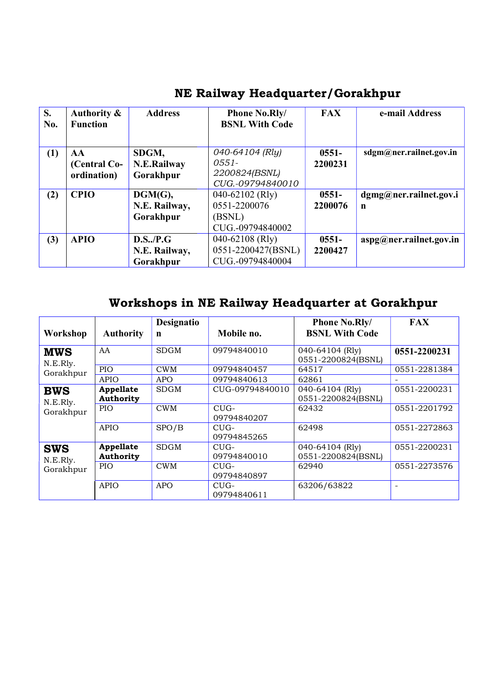| <b>S.</b><br>No. | Authority &<br><b>Function</b>    | <b>Address</b>                          | <b>Phone No.Rly/</b><br><b>BSNL With Code</b>                    | <b>FAX</b>          | e-mail Address               |
|------------------|-----------------------------------|-----------------------------------------|------------------------------------------------------------------|---------------------|------------------------------|
| (1)              | AA<br>(Central Co-<br>ordination) | SDGM,<br>N.E.Railway<br>Gorakhpur       | 040-64104 (Rly)<br>$0551 -$<br>2200824(BSNL)<br>CUG.-09794840010 | $0551 -$<br>2200231 | sdgm@ner.railnet.gov.in      |
| (2)              | <b>CPIO</b>                       | DGM(G),<br>N.E. Railway,<br>Gorakhpur   | 040-62102 (Rly)<br>0551-2200076<br>(BSNL)<br>CUG.-09794840002    | $0551 -$<br>2200076 | dgmg@ner.railnet.gov.i<br>n  |
| (3)              | <b>APIO</b>                       | D.S.,/P.G<br>N.E. Railway,<br>Gorakhpur | 040-62108 (Rly)<br>0551-2200427(BSNL)<br>CUG.-09794840004        | $0551 -$<br>2200427 | $\arg(a)$ ner.railnet.gov.in |

### NE Railway Headquarter/Gorakhpur

### Workshops in NE Railway Headquarter at Gorakhpur

| Workshop               | <b>Authority</b>              | Designatio<br>n | Mobile no.            | <b>Phone No.Rly/</b><br><b>BSNL With Code</b> | <b>FAX</b>   |
|------------------------|-------------------------------|-----------------|-----------------------|-----------------------------------------------|--------------|
| <b>MWS</b><br>N.E.Rly. | AA                            | <b>SDGM</b>     | 09794840010           | 040-64104 (Rly)<br>0551-2200824(BSNL)         | 0551-2200231 |
| Gorakhpur              | PIO                           | <b>CWM</b>      | 09794840457           | 64517                                         | 0551-2281384 |
|                        | APIO                          | <b>APO</b>      | 09794840613           | 62861                                         |              |
| <b>BWS</b><br>N.E.Rly. | Appellate<br><b>Authority</b> | <b>SDGM</b>     | CUG-09794840010       | 040-64104 (Rly)<br>0551-2200824(BSNL)         | 0551-2200231 |
| Gorakhpur              | <b>PIO</b>                    | <b>CWM</b>      | $CUG-$<br>09794840207 | 62432                                         | 0551-2201792 |
|                        | <b>APIO</b>                   | SPO/B           | $CUG-$<br>09794845265 | 62498                                         | 0551-2272863 |
| <b>SWS</b><br>N.E.Rly. | Appellate<br><b>Authority</b> | <b>SDGM</b>     | $CUG-$<br>09794840010 | 040-64104 (Rly)<br>0551-2200824(BSNL)         | 0551-2200231 |
| Gorakhpur              | <b>PIO</b>                    | <b>CWM</b>      | $CUG-$<br>09794840897 | 62940                                         | 0551-2273576 |
|                        | APIO                          | <b>APO</b>      | $CUG-$<br>09794840611 | 63206/63822                                   |              |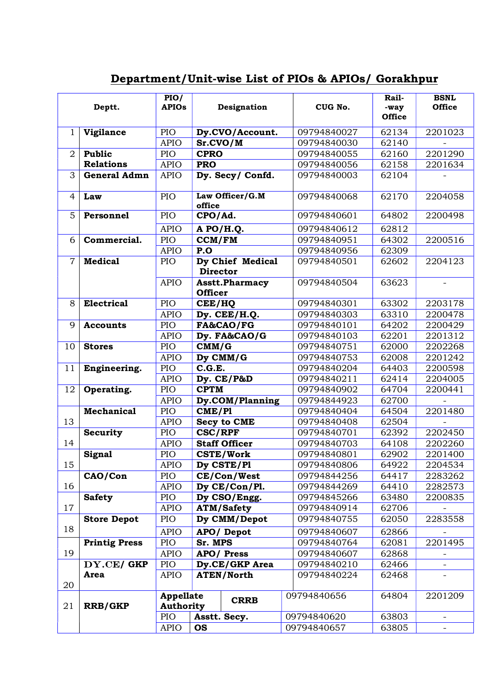#### Department/Unit-wise List of PIOs & APIOs/ Gorakhpur

|                | Deptt.                              | PIO/<br><b>APIOs</b>                 |                 | Designation           |         | CUG No.     | Rail-<br>-way<br><b>Office</b> | <b>BSNL</b><br><b>Office</b> |
|----------------|-------------------------------------|--------------------------------------|-----------------|-----------------------|---------|-------------|--------------------------------|------------------------------|
| $\mathbf{1}$   | Vigilance                           | PIO                                  |                 | Dy.CVO/Account.       |         | 09794840027 | 62134                          | 2201023                      |
|                |                                     | <b>APIO</b>                          | Sr.CVO/M        |                       |         | 09794840030 | 62140                          |                              |
| $\overline{2}$ | Public                              | PIO                                  | <b>CPRO</b>     |                       |         | 09794840055 | 62160                          | 2201290                      |
|                | <b>Relations</b>                    | <b>APIO</b>                          | <b>PRO</b>      |                       |         | 09794840056 | 62158                          | 2201634                      |
| 3              | <b>General Admn</b>                 | <b>APIO</b>                          |                 | Dy. Secy/Confd.       |         | 09794840003 | 62104                          |                              |
| 4              | Law                                 | PIO                                  | office          | Law Officer/G.M       |         | 09794840068 | 62170                          | 2204058                      |
| $\overline{5}$ | Personnel                           | PIO                                  | CPO/Ad.         |                       |         | 09794840601 | 64802                          | 2200498                      |
|                |                                     | <b>APIO</b>                          |                 | A PO/H.Q.             |         | 09794840612 | 62812                          |                              |
| 6              | Commercial.<br>PIO<br><b>CCM/FM</b> |                                      | 09794840951     | 64302                 | 2200516 |             |                                |                              |
|                |                                     | <b>APIO</b>                          | P.O             |                       |         | 09794840956 | 62309                          |                              |
| $\overline{7}$ | <b>Medical</b>                      | <b>PIO</b>                           |                 | Dy Chief Medical      |         | 09794840501 | 62602                          | 2204123                      |
|                |                                     |                                      | <b>Director</b> |                       |         |             |                                |                              |
|                |                                     | <b>APIO</b>                          | <b>Officer</b>  | <b>Asstt.Pharmacy</b> |         | 09794840504 | 63623                          |                              |
| 8              | <b>Electrical</b>                   | <b>PIO</b>                           | CEE/HQ          |                       |         | 09794840301 | 63302                          | 2203178                      |
|                |                                     | <b>APIO</b>                          |                 | Dy. CEE/H.Q.          |         | 09794840303 | 63310                          | 2200478                      |
| 9              | <b>Accounts</b>                     | PIO                                  |                 | FA&CAO/FG             |         | 09794840101 | 64202                          | 2200429                      |
|                |                                     | <b>APIO</b>                          |                 | Dy. FA&CAO/G          |         | 09794840103 | 62201                          | 2201312                      |
| 10             | <b>Stores</b>                       | PIO                                  | CMM/G           |                       |         | 09794840751 | 62000                          | 2202268                      |
|                |                                     | <b>APIO</b>                          |                 | Dy CMM/G              |         | 09794840753 | 62008                          | 2201242                      |
| 11             | Engineering.                        | PIO                                  | C.G.E.          |                       |         | 09794840204 | 64403                          | 2200598                      |
|                |                                     | <b>APIO</b>                          |                 | Dy. CE/P&D            |         | 09794840211 | 62414                          | 2204005                      |
| 12             | Operating.                          | PIO                                  | <b>CPTM</b>     |                       |         | 09794840902 | 64704                          | 2200441                      |
|                |                                     | <b>APIO</b>                          |                 | Dy.COM/Planning       |         | 09794844923 | 62700                          |                              |
|                | <b>Mechanical</b>                   | <b>PIO</b>                           | CME/PI          |                       |         | 09794840404 | 64504                          | 2201480                      |
| 13             |                                     | <b>APIO</b>                          |                 | <b>Secy to CME</b>    |         | 09794840408 | 62504                          |                              |
|                | <b>Security</b>                     | PIO                                  | <b>CSC/RPF</b>  |                       |         | 09794840701 | 62392                          | 2202450                      |
| 14             |                                     | <b>APIO</b>                          |                 | <b>Staff Officer</b>  |         | 09794840703 | 64108                          | 2202260                      |
|                | Signal                              | PIO                                  |                 | <b>CSTE/Work</b>      |         | 09794840801 | 62902                          | 2201400                      |
| 15             |                                     | <b>APIO</b>                          |                 | Dy CSTE/Pl            |         | 09794840806 | 64922                          | 2204534                      |
|                | CAO/Con                             | PIO                                  |                 | CE/Con/West           |         | 09794844256 | 64417                          | 2283262                      |
| 16             |                                     | <b>APIO</b>                          |                 | Dy CE/Con/Pl.         |         | 09794844269 | 64410                          | 2282573                      |
|                | <b>Safety</b>                       | PIO                                  |                 | Dy CSO/Engg.          |         | 09794845266 | 63480                          | 2200835                      |
| 17             |                                     | <b>APIO</b>                          |                 | <b>ATM/Safety</b>     |         | 09794840914 | 62706                          |                              |
|                | <b>Store Depot</b>                  | PIO                                  |                 | Dy CMM/Depot          |         | 09794840755 | 62050                          | 2283558                      |
| 18             |                                     | <b>APIO</b>                          |                 | APO/Depot             |         | 09794840607 | 62866                          |                              |
|                | <b>Printig Press</b>                | PIO                                  | Sr. MPS         |                       |         | 09794840764 | 62081                          | 2201495                      |
| 19             |                                     | <b>APIO</b>                          |                 | APO/ Press            |         | 09794840607 | 62868                          |                              |
|                | DY.CE/GKP                           | PIO                                  |                 | Dy.CE/GKP Area        |         | 09794840210 | 62466                          |                              |
| 20             | Area                                | <b>APIO</b>                          |                 | <b>ATEN/North</b>     |         | 09794840224 | 62468                          |                              |
| 21             | <b>RRB/GKP</b>                      | <b>Appellate</b><br><b>Authority</b> |                 | <b>CRRB</b>           |         | 09794840656 | 64804                          | 2201209                      |
|                |                                     | PIO                                  |                 | Asstt. Secy.          |         | 09794840620 | 63803                          |                              |
|                |                                     | <b>APIO</b>                          | <b>OS</b>       |                       |         | 09794840657 | 63805                          | $\overline{\phantom{0}}$     |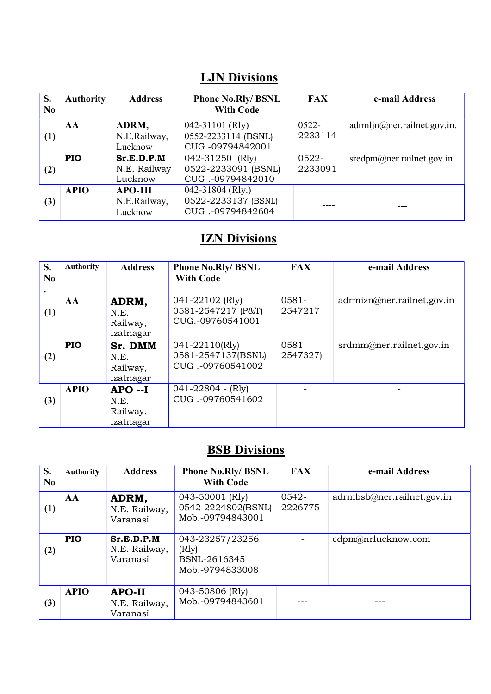#### LJN Divisions

| S.<br>No         | <b>Authority</b> | <b>Address</b>                        | <b>Phone No.Rly/ BSNL</b><br><b>With Code</b>                  | <b>FAX</b>          | e-mail Address                |
|------------------|------------------|---------------------------------------|----------------------------------------------------------------|---------------------|-------------------------------|
| $\left(1\right)$ | AA               | ADRM,<br>N.E.Railway,<br>Lucknow      | $042 - 31101$ (Rly)<br>0552-2233114 (BSNL)<br>CUG.-09794842001 | $0522 -$<br>2233114 | adrmin@ner. rainlet.gov.in.   |
| (2)              | <b>PIO</b>       | Sr.E.D.P.M<br>N.E. Railway<br>Lucknow | 042-31250 (Rly)<br>0522-2233091 (BSNL)<br>CUG.-09794842010     | 0522-<br>2233091    | $sredpm@ner.$ railnet.gov.in. |
| (3)              | <b>APIO</b>      | $APO-1II$<br>N.E.Railway,<br>Lucknow  | 042-31804 (Rly.)<br>0522-2233137 (BSNL)<br>CUG.-09794842604    |                     |                               |

## **IZN Divisions**

| S.<br>No | <b>Authority</b> | <b>Address</b>                            | <b>Phone No.Rly/ BSNL</b><br><b>With Code</b>             | <b>FAX</b>          | e-mail Address             |
|----------|------------------|-------------------------------------------|-----------------------------------------------------------|---------------------|----------------------------|
| (1)      | AA               | ADRM,<br>N.E.<br>Railway,<br>Izatnagar    | 041-22102 (Rly)<br>0581-2547217 (P&T)<br>CUG.-09760541001 | $0581 -$<br>2547217 | adrmizn@ner.railnet.gov.in |
| (2)      | PIO              | Sr. DMM<br>N.E.<br>Railway,<br>Izatnagar  | 041-22110(Rly)<br>0581-2547137(BSNL)<br>CUG.-09760541002  | 0581<br>2547327)    | srdmm@ner.railnet.gov.in   |
| (3)      | <b>APIO</b>      | $APO -I$<br>N.E.<br>Railway,<br>Izatnagar | $041 - 22804 - (Rly)$<br>CUG.-09760541602                 |                     |                            |

# **BSB Divisions**

| S.<br>No | <b>Authority</b> | <b>Address</b>                          | <b>Phone No.Rly/ BSNL</b><br><b>With Code</b>               | <b>FAX</b>       | e-mail Address              |
|----------|------------------|-----------------------------------------|-------------------------------------------------------------|------------------|-----------------------------|
| (1)      | AA               | ADRM,<br>N.E. Railway,<br>Varanasi      | 043-50001 (Rly)<br>0542-2224802(BSNL)<br>Mob.-09794843001   | 0542-<br>2226775 | adrmbsb@ner. railnet.gov.in |
| (2)      | <b>PIO</b>       | Sr.E.D.P.M<br>N.E. Railway,<br>Varanasi | 043-23257/23256<br>(Rly)<br>BSNL-2616345<br>Mob.-9794833008 |                  | edpm@nrlucknow.com          |
| (3)      | <b>APIO</b>      | APO-II<br>N.E. Railway,<br>Varanasi     | 043-50806 (Rly)<br>Mob.-09794843601                         |                  |                             |